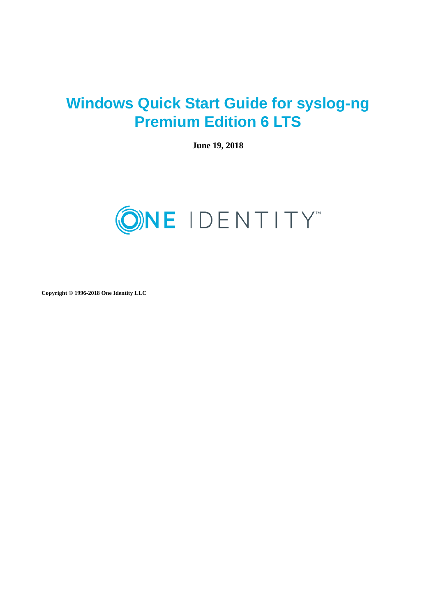# **Windows Quick Start Guide for syslog-ng Premium Edition 6 LTS**

**June 19, 2018**



**Copyright © 1996-2018 One Identity LLC**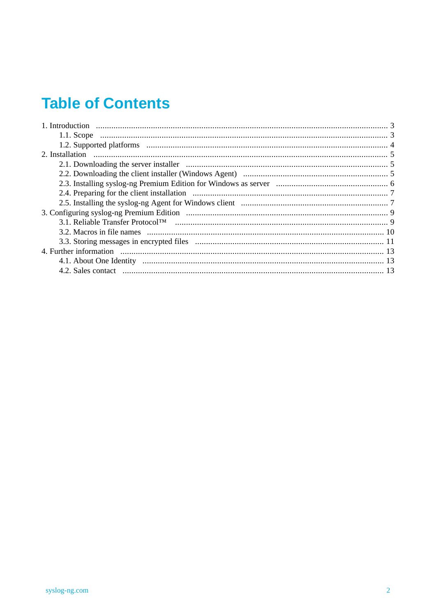# **Table of Contents**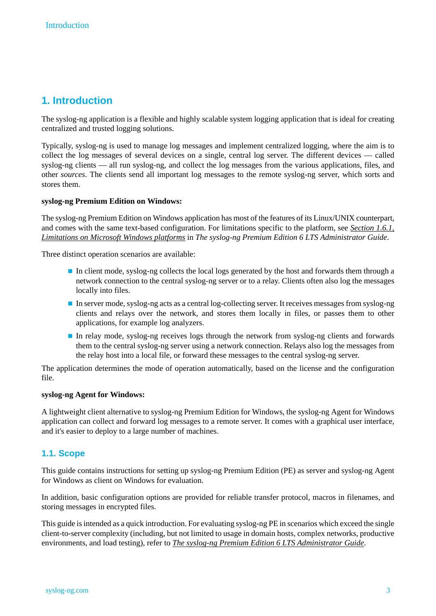# <span id="page-2-0"></span>**1. Introduction**

The syslog-ng application is a flexible and highly scalable system logging application that is ideal for creating centralized and trusted logging solutions.

Typically, syslog-ng is used to manage log messages and implement centralized logging, where the aim is to collect the log messages of several devices on a single, central log server. The different devices — called syslog-ng clients — all run syslog-ng, and collect the log messages from the various applications, files, and other *sources*. The clients send all important log messages to the remote syslog-ng server, which sorts and stores them.

#### **syslog-ng Premium Edition on Windows:**

The syslog-ng Premium Edition on Windows application has most of the features of its Linux/UNIX counterpart, and comes with the same text-based configuration. For limitations specific to the platform, see *[Section](../../syslog-ng-pe-guide-admin/pdf/syslog-ng-pe-guide-admin.pdf#windows-limitations) 1.6.1, [Limitations](../../syslog-ng-pe-guide-admin/pdf/syslog-ng-pe-guide-admin.pdf#windows-limitations) on Microsoft Windows platforms* in *The syslog-ng Premium Edition 6 LTS Administrator Guide*.

Three distinct operation scenarios are available:

- In client mode, syslog-ng collects the local logs generated by the host and forwards them through a network connection to the central syslog-ng server or to a relay. Clients often also log the messages locally into files.
- In server mode, syslog-ng acts as a central log-collecting server. It receives messages from syslog-ng clients and relays over the network, and stores them locally in files, or passes them to other applications, for example log analyzers.
- In relay mode, syslog-ng receives logs through the network from syslog-ng clients and forwards them to the central syslog-ng server using a network connection. Relays also log the messages from the relay host into a local file, or forward these messages to the central syslog-ng server.

The application determines the mode of operation automatically, based on the license and the configuration file.

#### <span id="page-2-1"></span>**syslog-ng Agent for Windows:**

A lightweight client alternative to syslog-ng Premium Edition for Windows, the syslog-ng Agent for Windows application can collect and forward log messages to a remote server. It comes with a graphical user interface, and it's easier to deploy to a large number of machines.

## **1.1. Scope**

This guide contains instructions for setting up syslog-ng Premium Edition (PE) as server and syslog-ng Agent for Windows as client on Windows for evaluation.

In addition, basic configuration options are provided for reliable transfer protocol, macros in filenames, and storing messages in encrypted files.

This guide is intended as a quick introduction. For evaluating syslog-ng PE in scenarios which exceed the single client-to-server complexity (including, but not limited to usage in domain hosts, complex networks, productive environments, and load testing), refer to *The syslog-ng Premium Edition 6 LTS [Administrator](../../syslog-ng-pe-guide-admin/pdf/syslog-ng-pe-guide-admin.pdf#syslog-ng-pe-guide-admin) Guide*.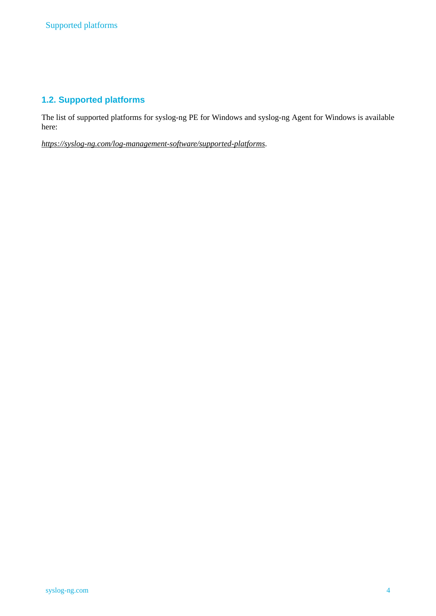## <span id="page-3-0"></span>**1.2. Supported platforms**

The list of supported platforms for syslog-ng PE for Windows and syslog-ng Agent for Windows is available here:

*<https://syslog-ng.com/log-management-software/supported-platforms>*.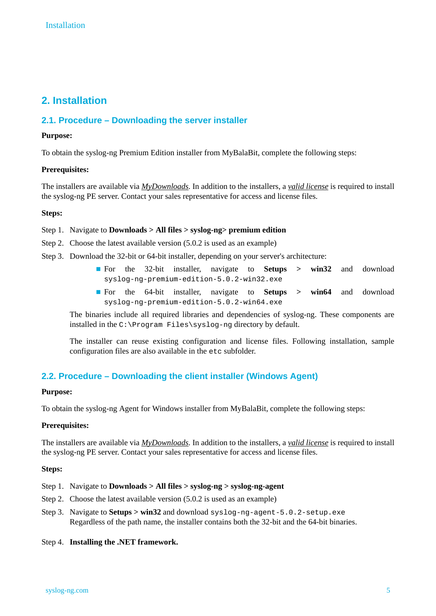# <span id="page-4-1"></span><span id="page-4-0"></span>**2. Installation**

## **2.1. Procedure – Downloading the server installer**

#### **Purpose:**

To obtain the syslog-ng Premium Edition installer from MyBalaBit, complete the following steps:

#### **Prerequisites:**

The installers are available via *[MyDownloads](https://support.oneidentity.com/my-downloads)*. In addition to the installers, a *valid [license](https://my.balabit.com/)* is required to install the syslog-ng PE server. Contact your sales representative for access and license files.

#### **Steps:**

#### Step 1. Navigate to **Downloads > All files > syslog-ng> premium edition**

- Step 2. Choose the latest available version (5.0.2 is used as an example)
- Step 3. Download the 32-bit or 64-bit installer, depending on your server's architecture:
	- For the 32-bit installer, navigate to **Setups > win32** and download syslog-ng-premium-edition-5.0.2-win32.exe
	- For the 64-bit installer, navigate to **Setups > win64** and download syslog-ng-premium-edition-5.0.2-win64.exe

The binaries include all required libraries and dependencies of syslog-ng. These components are installed in the C:\Program Files\syslog-ng directory by default.

<span id="page-4-2"></span>The installer can reuse existing configuration and license files. Following installation, sample configuration files are also available in the etc subfolder.

## **2.2. Procedure – Downloading the client installer (Windows Agent)**

#### **Purpose:**

To obtain the syslog-ng Agent for Windows installer from MyBalaBit, complete the following steps:

#### **Prerequisites:**

The installers are available via *[MyDownloads](https://support.oneidentity.com/my-downloads)*. In addition to the installers, a *valid [license](https://my.balabit.com/)* is required to install the syslog-ng PE server. Contact your sales representative for access and license files.

#### **Steps:**

- Step 1. Navigate to **Downloads > All files > syslog-ng > syslog-ng-agent**
- Step 2. Choose the latest available version (5.0.2 is used as an example)
- Step 3. Navigate to **Setups > win32** and download syslog-ng-agent-5.0.2-setup.exe Regardless of the path name, the installer contains both the 32-bit and the 64-bit binaries.

#### Step 4. **Installing the .NET framework.**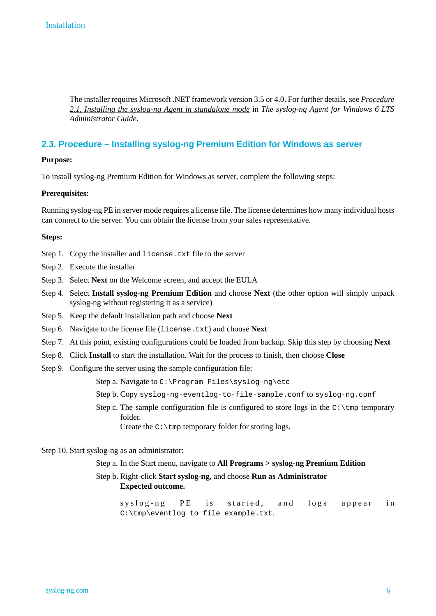The installer requires Microsoft .NET framework version 3.5 or 4.0. For further details, see *[Procedure](../../syslog-ng-windows-agent-guide-admin/pdf/syslog-ng-windows-agent-guide-admin.pdf#windows-install-standalone) 2.1, Installing the syslog-ng Agent in [standalone](../../syslog-ng-windows-agent-guide-admin/pdf/syslog-ng-windows-agent-guide-admin.pdf#windows-install-standalone) mode* in *The syslog-ng Agent for Windows 6 LTS Administrator Guide*.

## <span id="page-5-0"></span>**2.3. Procedure – Installing syslog-ng Premium Edition for Windows as server**

#### **Purpose:**

To install syslog-ng Premium Edition for Windows as server, complete the following steps:

#### **Prerequisites:**

Running syslog-ng PE in server mode requires a license file. The license determines how many individual hosts can connect to the server. You can obtain the license from your sales representative.

#### **Steps:**

- Step 1. Copy the installer and license.txt file to the server
- Step 2. Execute the installer
- Step 3. Select **Next** on the Welcome screen, and accept the EULA
- Step 4. Select **Install syslog-ng Premium Edition** and choose **Next** (the other option will simply unpack syslog-ng without registering it as a service)
- Step 5. Keep the default installation path and choose **Next**
- Step 6. Navigate to the license file (license.txt) and choose **Next**
- Step 7. At this point, existing configurations could be loaded from backup. Skip this step by choosing **Next**
- Step 8. Click **Install** to start the installation. Wait for the process to finish, then choose **Close**
- Step 9. Configure the server using the sample configuration file:

Step a. Navigate to C:\Program Files\syslog-ng\etc

- Step b. Copy syslog-ng-eventlog-to-file-sample.conf to syslog-ng.conf
- Step c. The sample configuration file is configured to store logs in the  $C:\Lambda$ mp temporary folder.

Create the C:\tmp temporary folder for storing logs.

#### Step 10. Start syslog-ng as an administrator:

Step a. In the Start menu, navigate to **All Programs > syslog-ng Premium Edition**

Step b. Right-click **Start syslog-ng**, and choose **Run as Administrator Expected outcome.**

syslog-ng PE is started, and logs appear in C:\tmp\eventlog\_to\_file\_example.txt.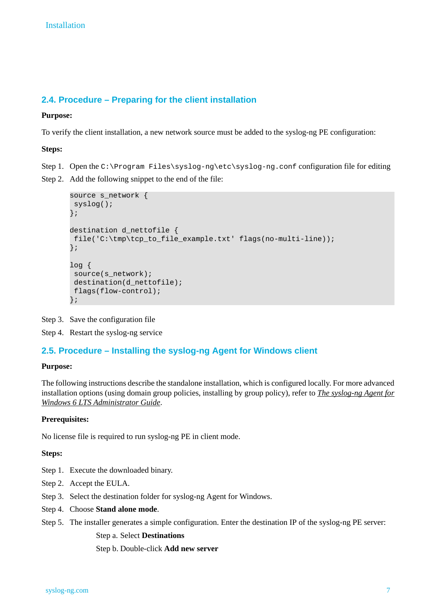## <span id="page-6-0"></span>**2.4. Procedure – Preparing for the client installation**

#### **Purpose:**

To verify the client installation, a new network source must be added to the syslog-ng PE configuration:

#### **Steps:**

Step 1. Open the C:\Program Files\syslog-ng\etc\syslog-ng.conf configuration file for editing

Step 2. Add the following snippet to the end of the file:

```
source s_network {
syslog();
};
destination d nettofile {
file('C:\tmp\tcp_to_file_example.txt' flags(no-multi-line));
};
log {
 source(s_network);
destination(d_nettofile);
 flags(flow-control);
};
```
<span id="page-6-1"></span>Step 3. Save the configuration file

Step 4. Restart the syslog-ng service

## **2.5. Procedure – Installing the syslog-ng Agent for Windows client**

#### **Purpose:**

The following instructions describe the standalone installation, which is configured locally. For more advanced installation options (using domain group policies, installing by group policy), refer to *The [syslog-ng](../../syslog-ng-windows-agent-guide-admin/pdf/syslog-ng-windows-agent-guide-admin.pdf#syslog-ng-windows-agent-guide-admin) Agent for Windows 6 LTS [Administrator](../../syslog-ng-windows-agent-guide-admin/pdf/syslog-ng-windows-agent-guide-admin.pdf#syslog-ng-windows-agent-guide-admin) Guide*.

## **Prerequisites:**

No license file is required to run syslog-ng PE in client mode.

#### **Steps:**

- Step 1. Execute the downloaded binary.
- Step 2. Accept the EULA.
- Step 3. Select the destination folder for syslog-ng Agent for Windows.
- Step 4. Choose **Stand alone mode**.
- Step 5. The installer generates a simple configuration. Enter the destination IP of the syslog-ng PE server:

## Step a. Select **Destinations**

Step b. Double-click **Add new server**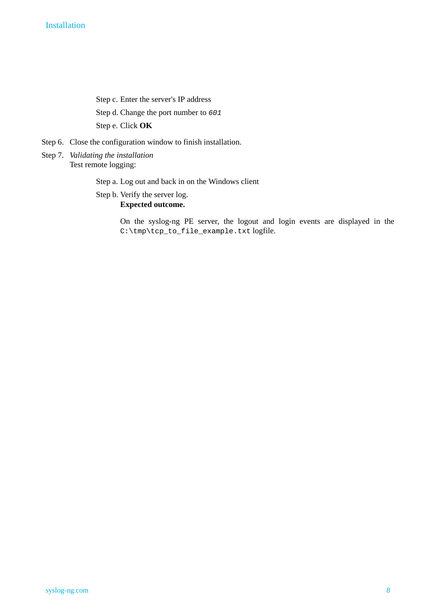Step c. Enter the server's IP address Step d. Change the port number to *601* Step e. Click **OK**

- Step 6. Close the configuration window to finish installation.
- Step 7. *Validating the installation* Test remote logging:

Step a. Log out and back in on the Windows client

Step b. Verify the server log. **Expected outcome.**

> On the syslog-ng PE server, the logout and login events are displayed in the C:\tmp\tcp\_to\_file\_example.txt logfile.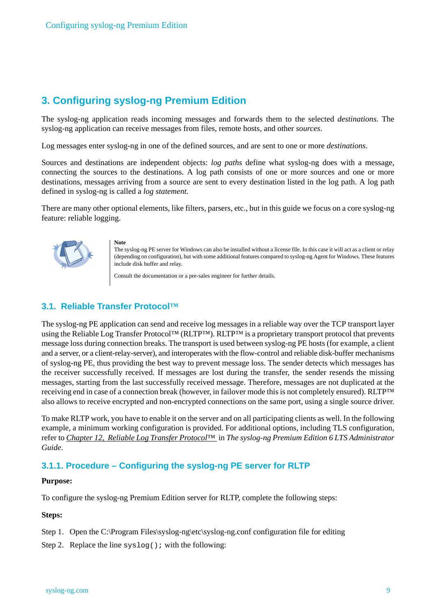# <span id="page-8-0"></span>**3. Configuring syslog-ng Premium Edition**

The syslog-ng application reads incoming messages and forwards them to the selected *destinations*. The syslog-ng application can receive messages from files, remote hosts, and other *sources*.

Log messages enter syslog-ng in one of the defined sources, and are sent to one or more *destinations*.

Sources and destinations are independent objects: *log paths* define what syslog-ng does with a message, connecting the sources to the destinations. A log path consists of one or more sources and one or more destinations, messages arriving from a source are sent to every destination listed in the log path. A log path defined in syslog-ng is called a *log statement*.

There are many other optional elements, like filters, parsers, etc., but in this guide we focus on a core syslog-ng feature: reliable logging.



**Note** The syslog-ng PE server for Windows can also be installed without a license file. In this case it will act as a client or relay (depending on configuration), but with some additional features compared to syslog-ng Agent for Windows. These features include disk buffer and relay.

Consult the documentation or a pre-sales engineer for further details.

## <span id="page-8-1"></span>**3.1. Reliable Transfer Protocol™**

The syslog-ng PE application can send and receive log messages in a reliable way over the TCP transport layer using the Reliable Log Transfer Protocol™ (RLTP™). RLTP™ is a proprietary transport protocol that prevents message loss during connection breaks. The transport is used between syslog-ng PE hosts (for example, a client and a server, or a client-relay-server), and interoperates with the flow-control and reliable disk-buffer mechanisms of syslog-ng PE, thus providing the best way to prevent message loss. The sender detects which messages has the receiver successfully received. If messages are lost during the transfer, the sender resends the missing messages, starting from the last successfully received message. Therefore, messages are not duplicated at the receiving end in case of a connection break (however, in failover mode this is not completely ensured). RLTP™ also allows to receive encrypted and non-encrypted connections on the same port, using a single source driver.

To make RLTP work, you have to enable it on the server and on all participating clients as well. In the following example, a minimum working configuration is provided. For additional options, including TLS configuration, refer to *Chapter 12, Reliable Log Transfer [Protocol](../../syslog-ng-pe-guide-admin/pdf/syslog-ng-pe-guide-admin.pdf#chapter-rltp)™* in *The syslog-ng Premium Edition 6 LTS Administrator Guide*.

## **3.1.1. Procedure – Configuring the syslog-ng PE server for RLTP**

#### **Purpose:**

To configure the syslog-ng Premium Edition server for RLTP, complete the following steps:

#### **Steps:**

Step 1. Open the C:\Program Files\syslog-ng\etc\syslog-ng.conf configuration file for editing

Step 2. Replace the line syslog(); with the following: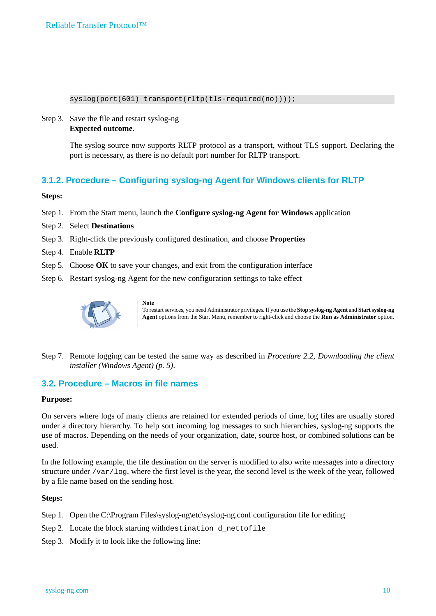#### syslog(port(601) transport(rltp(tls-required(no))));

#### Step 3. Save the file and restart syslog-ng **Expected outcome.**

The syslog source now supports RLTP protocol as a transport, without TLS support. Declaring the port is necessary, as there is no default port number for RLTP transport.

## **3.1.2. Procedure – Configuring syslog-ng Agent for Windows clients for RLTP**

**Steps:**

- Step 1. From the Start menu, launch the **Configure syslog-ng Agent for Windows** application
- Step 2. Select **Destinations**
- Step 3. Right-click the previously configured destination, and choose **Properties**
- Step 4. Enable **RLTP**
- Step 5. Choose **OK** to save your changes, and exit from the configuration interface
- Step 6. Restart syslog-ng Agent for the new configuration settings to take effect



**Note** To restartservices, you need Administrator privileges. If you use the **Stop syslog-ng Agent** and **Startsyslog-ng Agent** options from the Start Menu, remember to right-click and choose the **Run as Administrator** option.

<span id="page-9-0"></span>Step 7. Remote logging can be tested the same way as described in *Procedure 2.2, [Downloading](#page-4-2) the client installer [\(Windows](#page-4-2) Agent) [\(p.](#page-4-2) 5)*.

## **3.2. Procedure – Macros in file names**

#### **Purpose:**

On servers where logs of many clients are retained for extended periods of time, log files are usually stored under a directory hierarchy. To help sort incoming log messages to such hierarchies, syslog-ng supports the use of macros. Depending on the needs of your organization, date, source host, or combined solutions can be used.

In the following example, the file destination on the server is modified to also write messages into a directory structure under /var/log, where the first level is the year, the second level is the week of the year, followed by a file name based on the sending host.

#### **Steps:**

Step 1. Open the C:\Program Files\syslog-ng\etc\syslog-ng.conf configuration file for editing

- Step 2. Locate the block starting withdestination d\_nettofile
- Step 3. Modify it to look like the following line: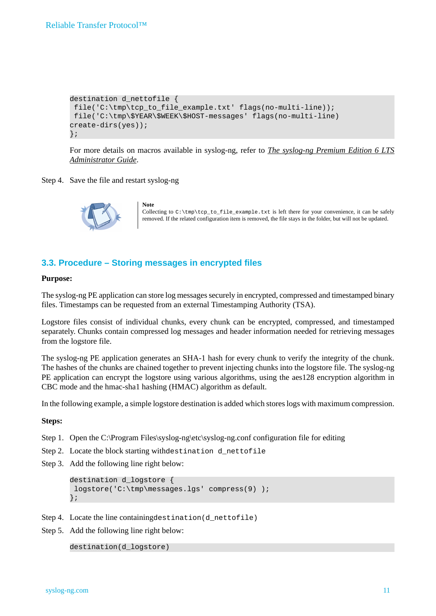```
destination d_nettofile {
file('C:\tmp\tcp_to_file_example.txt' flags(no-multi-line));
file('C:\tmp\$YEAR\$WEEK\$HOST-messages' flags(no-multi-line)
create-dirs(yes));
};
```
For more details on macros available in syslog-ng, refer to *The [syslog-ng](../../syslog-ng-pe-guide-admin/pdf/syslog-ng-pe-guide-admin.pdf#syslog-ng-pe-guide-admin) Premium Edition 6 LTS [Administrator](../../syslog-ng-pe-guide-admin/pdf/syslog-ng-pe-guide-admin.pdf#syslog-ng-pe-guide-admin) Guide*.

#### Step 4. Save the file and restart syslog-ng



**Note** Collecting to  $C:\tIm\text{t}p\to\text{file\_example.txt}$  is left there for your convenience, it can be safely removed. If the related configuration item is removed, the file stays in the folder, but will not be updated.

## <span id="page-10-0"></span>**3.3. Procedure – Storing messages in encrypted files**

#### **Purpose:**

The syslog-ng PE application can store log messages securely in encrypted, compressed and timestamped binary files. Timestamps can be requested from an external Timestamping Authority (TSA).

Logstore files consist of individual chunks, every chunk can be encrypted, compressed, and timestamped separately. Chunks contain compressed log messages and header information needed for retrieving messages from the logstore file.

The syslog-ng PE application generates an SHA-1 hash for every chunk to verify the integrity of the chunk. The hashes of the chunks are chained together to prevent injecting chunks into the logstore file. The syslog-ng PE application can encrypt the logstore using various algorithms, using the aes128 encryption algorithm in CBC mode and the hmac-sha1 hashing (HMAC) algorithm as default.

In the following example, a simple logstore destination is added which storeslogs with maximum compression.

#### **Steps:**

- Step 1. Open the C:\Program Files\syslog-ng\etc\syslog-ng.conf configuration file for editing
- Step 2. Locate the block starting withdestination d\_nettofile
- Step 3. Add the following line right below:

```
destination d_logstore {
logstore('C:\tmp\messages.lgs' compress(9) );
};
```
- Step 4. Locate the line containing destination (d nettofile)
- Step 5. Add the following line right below:

```
destination(d_logstore)
```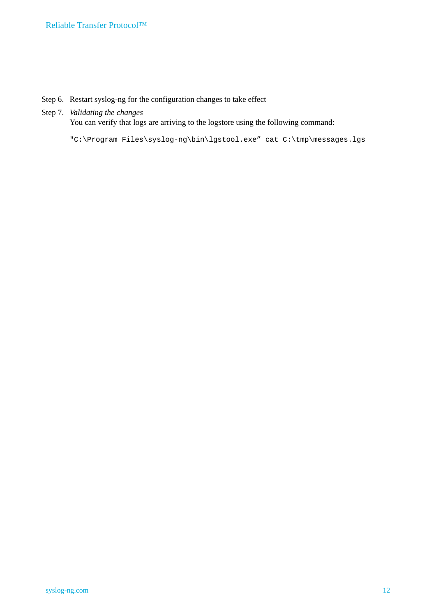- Step 6. Restart syslog-ng for the configuration changes to take effect
- Step 7. *Validating the changes*

You can verify that logs are arriving to the logstore using the following command:

"C:\Program Files\syslog-ng\bin\lgstool.exe" cat C:\tmp\messages.lgs